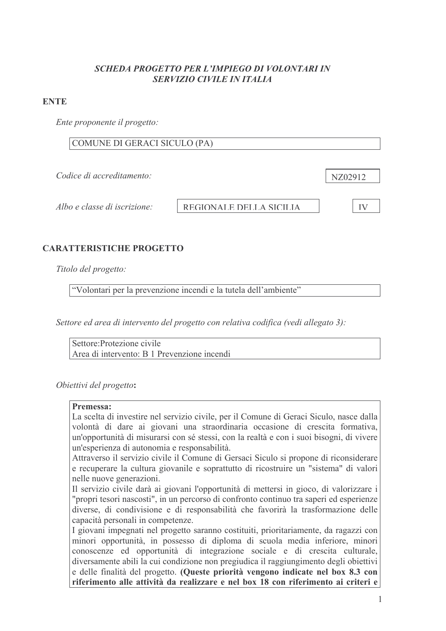### SCHEDA PROGETTO PER L'IMPIEGO DI VOLONTARI IN **SERVIZIO CIVILE IN ITALIA**

#### **ENTE**

Ente proponente il progetto:

# COMUNE DI GERACI SICULO (PA)

Codice di accreditamento:

Albo e classe di iscrizione:

REGIONALE DELLA SICILIA

**IV** 

NZ02912

# **CARATTERISTICHE PROGETTO**

Titolo del progetto:

"Volontari per la prevenzione incendi e la tutela dell'ambiente"

Settore ed area di intervento del progetto con relativa codifica (vedi allegato 3):

Settore Protezione civile Area di intervento: B 1 Prevenzione incendi

Obiettivi del progetto:

#### Premessa:

La scelta di investire nel servizio civile, per il Comune di Geraci Siculo, nasce dalla volontà di dare ai giovani una straordinaria occasione di crescita formativa, un'opportunità di misurarsi con sé stessi, con la realtà e con i suoi bisogni, di vivere un'esperienza di autonomia e responsabilità.

Attraverso il servizio civile il Comune di Gersaci Siculo si propone di riconsiderare e recuperare la cultura giovanile e soprattutto di ricostruire un "sistema" di valori nelle nuove generazioni.

Il servizio civile darà ai giovani l'opportunità di mettersi in gioco, di valorizzare i "propri tesori nascosti", in un percorso di confronto continuo tra saperi ed esperienze diverse, di condivisione e di responsabilità che favorirà la trasformazione delle capacità personali in competenze.

I giovani impegnati nel progetto saranno costituiti, prioritariamente, da ragazzi con minori opportunità, in possesso di diploma di scuola media inferiore, minori conoscenze ed opportunità di integrazione sociale e di crescita culturale, diversamente abili la cui condizione non pregiudica il raggiungimento degli obiettivi e delle finalità del progetto. (Queste priorità vengono indicate nel box 8.3 con riferimento alle attività da realizzare e nel box 18 con riferimento ai criteri e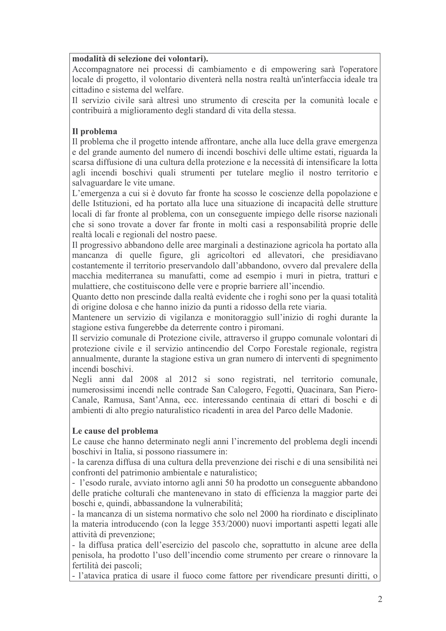#### modalità di selezione dei volontari).

Accompagnatore nei processi di cambiamento e di empowering sarà l'operatore locale di progetto, il volontario diventerà nella nostra realtà un'interfaccia ideale tra cittadino e sistema del welfare.

Il servizio civile sarà altresì uno strumento di crescita per la comunità locale e contribuirà a miglioramento degli standard di vita della stessa.

### Il problema

Il problema che il progetto intende affrontare, anche alla luce della grave emergenza e del grande aumento del numero di incendi boschivi delle ultime estati, riguarda la scarsa diffusione di una cultura della protezione e la necessità di intensificare la lotta agli incendi boschivi quali strumenti per tutelare meglio il nostro territorio e salvaguardare le vite umane.

L'emergenza a cui si è dovuto far fronte ha scosso le coscienze della popolazione e delle Istituzioni, ed ha portato alla luce una situazione di incapacità delle strutture locali di far fronte al problema, con un conseguente impiego delle risorse nazionali che si sono trovate a dover far fronte in molti casi a responsabilità proprie delle realtà locali e regionali del nostro paese.

Il progressivo abbandono delle aree marginali a destinazione agricola ha portato alla mancanza di quelle figure, gli agricoltori ed allevatori, che presidiavano costantemente il territorio preservandolo dall'abbandono, ovvero dal prevalere della macchia mediterranea su manufatti, come ad esempio i muri in pietra, tratturi e mulattiere, che costituiscono delle vere e proprie barriere all'incendio.

Quanto detto non prescinde dalla realtà evidente che i roghi sono per la quasi totalità di origine dolosa e che hanno inizio da punti a ridosso della rete viaria.

Mantenere un servizio di vigilanza e monitoraggio sull'inizio di roghi durante la stagione estiva fungerebbe da deterrente contro i piromani.

Il servizio comunale di Protezione civile, attraverso il gruppo comunale volontari di protezione civile e il servizio antincendio del Corpo Forestale regionale, registra annualmente, durante la stagione estiva un gran numero di interventi di spegnimento incendi boschivi

Negli anni dal 2008 al 2012 si sono registrati, nel territorio comunale, numerosissimi incendi nelle contrade San Calogero, Fegotti, Quacinara, San Piero-Canale, Ramusa, Sant'Anna, ecc. interessando centinaia di ettari di boschi e di ambienti di alto pregio naturalistico ricadenti in area del Parco delle Madonie.

#### Le cause del problema

Le cause che hanno determinato negli anni l'incremento del problema degli incendi boschivi in Italia, si possono riassumere in:

- la carenza diffusa di una cultura della prevenzione dei rischi e di una sensibilità nei confronti del patrimonio ambientale e naturalistico;

- l'esodo rurale, avviato intorno agli anni 50 ha prodotto un conseguente abbandono delle pratiche colturali che mantenevano in stato di efficienza la maggior parte dei boschi e, quindi, abbassandone la vulnerabilità;

- la mancanza di un sistema normativo che solo nel 2000 ha riordinato e disciplinato la materia introducendo (con la legge 353/2000) nuovi importanti aspetti legati alle attività di prevenzione:

- la diffusa pratica dell'esercizio del pascolo che, soprattutto in alcune aree della penisola, ha prodotto l'uso dell'incendio come strumento per creare o rinnovare la fertilità dei pascoli:

- l'atavica pratica di usare il fuoco come fattore per rivendicare presunti diritti, o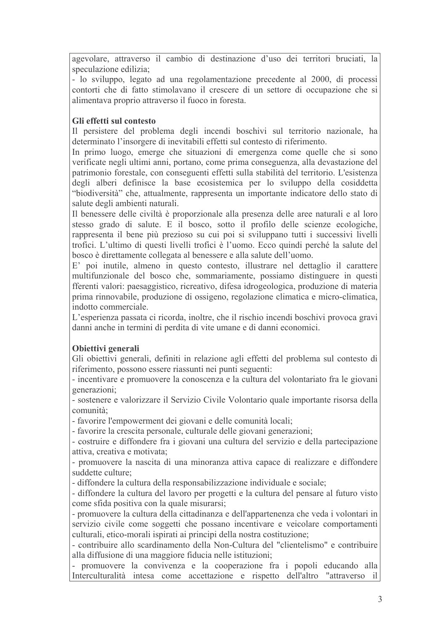agevolare, attraverso il cambio di destinazione d'uso dei territori bruciati, la speculazione edilizia:

- lo sviluppo, legato ad una regolamentazione precedente al 2000, di processi contorti che di fatto stimolavano il crescere di un settore di occupazione che si alimentava proprio attraverso il fuoco in foresta.

### Gli effetti sul contesto

Il persistere del problema degli incendi boschivi sul territorio nazionale, ha determinato l'insorgere di inevitabili effetti sul contesto di riferimento.

In primo luogo, emerge che situazioni di emergenza come quelle che si sono verificate negli ultimi anni, portano, come prima conseguenza, alla devastazione del patrimonio forestale, con conseguenti effetti sulla stabilità del territorio. L'esistenza degli alberi definisce la base ecosistemica per lo sviluppo della cosiddetta "biodiversità" che, attualmente, rappresenta un importante indicatore dello stato di salute degli ambienti naturali.

Il benessere delle civiltà è proporzionale alla presenza delle aree naturali e al loro stesso grado di salute. E il bosco, sotto il profilo delle scienze ecologiche, rappresenta il bene più prezioso su cui poi si sviluppano tutti i successivi livelli trofici. L'ultimo di questi livelli trofici è l'uomo. Ecco quindi perché la salute del bosco è direttamente collegata al benessere e alla salute dell'uomo.

E' poi inutile, almeno in questo contesto, illustrare nel dettaglio il carattere multifunzionale del bosco che, sommariamente, possiamo distinguere in questi fferenti valori: paesaggistico, ricreativo, difesa idrogeologica, produzione di materia prima rinnovabile, produzione di ossigeno, regolazione climatica e micro-climatica, indotto commerciale.

L'esperienza passata ci ricorda, inoltre, che il rischio incendi boschivi provoca gravi danni anche in termini di perdita di vite umane e di danni economici.

# Obiettivi generali

Gli obiettivi generali, definiti in relazione agli effetti del problema sul contesto di riferimento, possono essere riassunti nei punti seguenti:

- incentivare e promuovere la conoscenza e la cultura del volontariato fra le giovani generazioni;

- sostenere e valorizzare il Servizio Civile Volontario quale importante risorsa della comunità<sup>-</sup>

- favorire l'empowerment dei giovani e delle comunità locali;

- favorire la crescita personale, culturale delle giovani generazioni:

- costruire e diffondere fra i giovani una cultura del servizio e della partecipazione attiva, creativa e motivata;

- promuovere la nascita di una minoranza attiva capace di realizzare e diffondere suddette culture:

- diffondere la cultura della responsabilizzazione individuale e sociale;

- diffondere la cultura del lavoro per progetti e la cultura del pensare al futuro visto come sfida positiva con la quale misurarsi;

- promuovere la cultura della cittadinanza e dell'appartenenza che veda i volontari in servizio civile come soggetti che possano incentivare e veicolare comportamenti culturali, etico-morali ispirati ai principi della nostra costituzione;

- contribuire allo scardinamento della Non-Cultura del "clientelismo" e contribuire alla diffusione di una maggiore fiducia nelle istituzioni:

- promuovere la convivenza e la cooperazione fra i popoli educando alla Interculturalità intesa come accettazione e rispetto dell'altro "attraverso il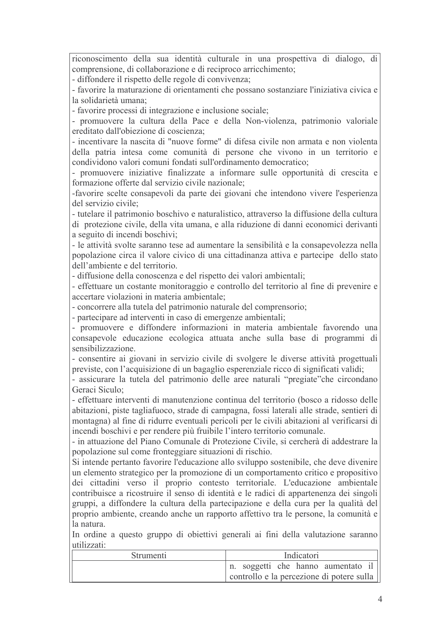riconoscimento della sua identità culturale in una prospettiva di dialogo, di comprensione, di collaborazione e di reciproco arricchimento:

- diffondere il rispetto delle regole di convivenza:

- favorire la maturazione di orientamenti che possano sostanziare l'iniziativa civica e la solidarietà umana:

- favorire processi di integrazione e inclusione sociale;

- promuovere la cultura della Pace e della Non-violenza, patrimonio valoriale ereditato dall'obiezione di coscienza;

- incentivare la nascita di "nuove forme" di difesa civile non armata e non violenta della patria intesa come comunità di persone che vivono in un territorio e condividono valori comuni fondati sull'ordinamento democratico;

- promuovere iniziative finalizzate a informare sulle opportunità di crescita e formazione offerte dal servizio civile nazionale;

-favorire scelte consapevoli da parte dei giovani che intendono vivere l'esperienza del servizio civile:

- tutelare il patrimonio boschivo e naturalistico, attraverso la diffusione della cultura di protezione civile, della vita umana, e alla riduzione di danni economici derivanti a seguito di incendi boschivi:

- le attività svolte saranno tese ad aumentare la sensibilità e la consapevolezza nella popolazione circa il valore civico di una cittadinanza attiva e partecipe dello stato dell'ambiente e del territorio.

- diffusione della conoscenza e del rispetto dei valori ambientali:

- effettuare un costante monitoraggio e controllo del territorio al fine di prevenire e accertare violazioni in materia ambientale;

- concorrere alla tutela del patrimonio naturale del comprensorio;

- partecipare ad interventi in caso di emergenze ambientali;

- promuovere e diffondere informazioni in materia ambientale favorendo una consapevole educazione ecologica attuata anche sulla base di programmi di sensibilizzazione.

- consentire ai giovani in servizio civile di svolgere le diverse attività progettuali previste, con l'acquisizione di un bagaglio esperenziale ricco di significati validi;

- assicurare la tutela del patrimonio delle aree naturali "pregiate" che circondano Geraci Siculo:

- effettuare interventi di manutenzione continua del territorio (bosco a ridosso delle abitazioni, piste tagliafuoco, strade di campagna, fossi laterali alle strade, sentieri di montagna) al fine di ridurre eventuali pericoli per le civili abitazioni al verificarsi di incendi boschivi e per rendere più fruibile l'intero territorio comunale.

- in attuazione del Piano Comunale di Protezione Civile, si cercherà di addestrare la popolazione sul come fronteggiare situazioni di rischio.

Si intende pertanto favorire l'educazione allo sviluppo sostenibile, che deve divenire un elemento strategico per la promozione di un comportamento critico e propositivo dei cittadini verso il proprio contesto territoriale. L'educazione ambientale contribuisce a ricostruire il senso di identità e le radici di appartenenza dei singoli gruppi, a diffondere la cultura della partecipazione e della cura per la qualità del proprio ambiente, creando anche un rapporto affettivo tra le persone, la comunità e la natura

In ordine a questo gruppo di obiettivi generali ai fini della valutazione saranno utilizzati:

| Strumenti | Indicatori                                |
|-----------|-------------------------------------------|
|           | n. soggetti che hanno aumentato il        |
|           | controllo e la percezione di potere sulla |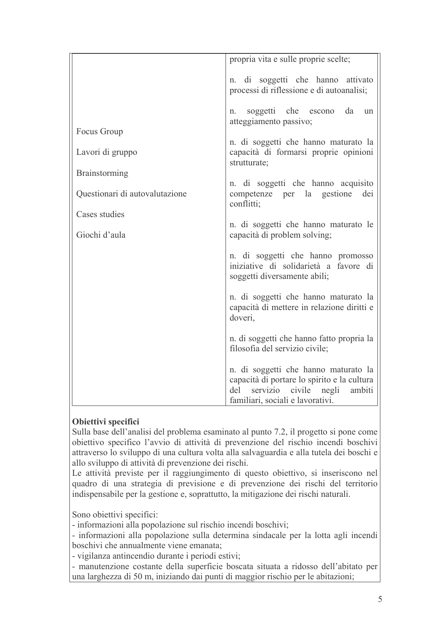|                                | propria vita e sulle proprie scelte;                                                                                                                                 |  |  |  |  |  |  |
|--------------------------------|----------------------------------------------------------------------------------------------------------------------------------------------------------------------|--|--|--|--|--|--|
|                                |                                                                                                                                                                      |  |  |  |  |  |  |
|                                | n. di soggetti che hanno attivato<br>processi di riflessione e di autoanalisi;                                                                                       |  |  |  |  |  |  |
|                                | soggetti che escono da<br>un<br>n.<br>atteggiamento passivo;                                                                                                         |  |  |  |  |  |  |
| Focus Group                    |                                                                                                                                                                      |  |  |  |  |  |  |
| Lavori di gruppo               | n. di soggetti che hanno maturato la<br>capacità di formarsi proprie opinioni<br>strutturate;                                                                        |  |  |  |  |  |  |
| <b>Brainstorming</b>           |                                                                                                                                                                      |  |  |  |  |  |  |
| Questionari di autovalutazione | n. di soggetti che hanno acquisito<br>competenze per la gestione<br>dei<br>conflitti;                                                                                |  |  |  |  |  |  |
| Cases studies                  |                                                                                                                                                                      |  |  |  |  |  |  |
| Giochi d'aula                  | n. di soggetti che hanno maturato le<br>capacità di problem solving;                                                                                                 |  |  |  |  |  |  |
|                                | n. di soggetti che hanno promosso<br>iniziative di solidarietà a favore di<br>soggetti diversamente abili;                                                           |  |  |  |  |  |  |
|                                | n. di soggetti che hanno maturato la<br>capacità di mettere in relazione diritti e<br>doveri,                                                                        |  |  |  |  |  |  |
|                                | n. di soggetti che hanno fatto propria la<br>filosofia del servizio civile;                                                                                          |  |  |  |  |  |  |
|                                | n. di soggetti che hanno maturato la<br>capacità di portare lo spirito e la cultura<br>servizio civile<br>del<br>negli<br>ambiti<br>familiari, sociali e lavorativi. |  |  |  |  |  |  |

# Obiettivi specifici

Sulla base dell'analisi del problema esaminato al punto 7.2, il progetto si pone come obiettivo specifico l'avvio di attività di prevenzione del rischio incendi boschivi attraverso lo sviluppo di una cultura volta alla salvaguardia e alla tutela dei boschi e allo sviluppo di attività di prevenzione dei rischi.

Le attività previste per il raggiungimento di questo obiettivo, si inseriscono nel quadro di una strategia di previsione e di prevenzione dei rischi del territorio indispensabile per la gestione e, soprattutto, la mitigazione dei rischi naturali.

Sono obiettivi specifici:

- informazioni alla popolazione sul rischio incendi boschivi;

- informazioni alla popolazione sulla determina sindacale per la lotta agli incendi boschivi che annualmente viene emanata;

- vigilanza antincendio durante i periodi estivi;

- manutenzione costante della superficie boscata situata a ridosso dell'abitato per una larghezza di 50 m, iniziando dai punti di maggior rischio per le abitazioni;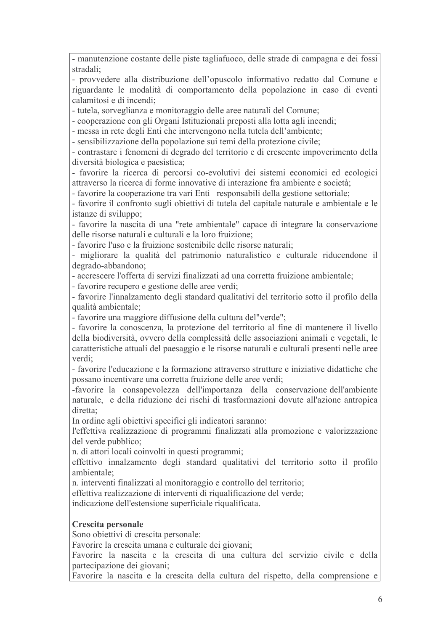- manutenzione costante delle piste tagliafuoco, delle strade di campagna e dei fossi stradali:

- provvedere alla distribuzione dell'opuscolo informativo redatto dal Comune e riguardante le modalità di comportamento della popolazione in caso di eventi calamitosi e di incendi:

- tutela, sorveglianza e monitoraggio delle aree naturali del Comune;

- cooperazione con gli Organi Istituzionali preposti alla lotta agli incendi;

- messa in rete degli Enti che intervengono nella tutela dell'ambiente;

- sensibilizzazione della popolazione sui temi della protezione civile;

- contrastare i fenomeni di degrado del territorio e di crescente impoverimento della diversità biologica e paesistica;

- favorire la ricerca di percorsi co-evolutivi dei sistemi economici ed ecologici attraverso la ricerca di forme innovative di interazione fra ambiente e società:

- favorire la cooperazione tra vari Enti responsabili della gestione settoriale;

- favorire il confronto sugli obiettivi di tutela del capitale naturale e ambientale e le istanze di sviluppo;

- favorire la nascita di una "rete ambientale" capace di integrare la conservazione delle risorse naturali e culturali e la loro fruizione:

- favorire l'uso e la fruizione sostenibile delle risorse naturali;

- migliorare la qualità del patrimonio naturalistico e culturale riducendone il degrado-abbandono;

- accrescere l'offerta di servizi finalizzati ad una corretta fruizione ambientale:

- favorire recupero e gestione delle aree verdi;

- favorire l'innalzamento degli standard qualitativi del territorio sotto il profilo della qualità ambientale:

- favorire una maggiore diffusione della cultura del"verde";

- favorire la conoscenza, la protezione del territorio al fine di mantenere il livello della biodiversità, ovvero della complessità delle associazioni animali e vegetali, le caratteristiche attuali del paesaggio e le risorse naturali e culturali presenti nelle aree verdi:

- favorire l'educazione e la formazione attraverso strutture e iniziative didattiche che possano incentivare una corretta fruizione delle aree verdi:

-favorire la consapevolezza dell'importanza della conservazione dell'ambiente naturale, e della riduzione dei rischi di trasformazioni dovute all'azione antropica diretta:

In ordine agli obiettivi specifici gli indicatori saranno:

l'effettiva realizzazione di programmi finalizzati alla promozione e valorizzazione del verde pubblico:

n. di attori locali coinvolti in questi programmi;

effettivo innalzamento degli standard qualitativi del territorio sotto il profilo ambientale<sup>.</sup>

n. interventi finalizzati al monitoraggio e controllo del territorio;

effettiva realizzazione di interventi di riqualificazione del verde;

indicazione dell'estensione superficiale riqualificata.

# Crescita personale

Sono obiettivi di crescita personale:

Favorire la crescita umana e culturale dei giovani;

Favorire la nascita e la crescita di una cultura del servizio civile e della partecipazione dei giovani;

Favorire la nascita e la crescita della cultura del rispetto, della comprensione e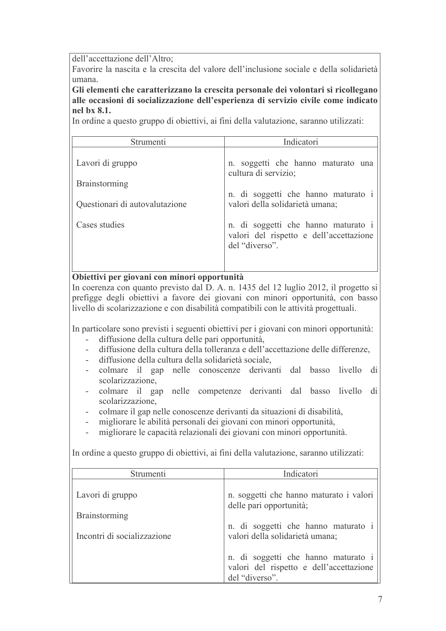dell'accettazione dell'Altro:

Favorire la nascita e la crescita del valore dell'inclusione sociale e della solidarietà umana

Gli elementi che caratterizzano la crescita personale dei volontari si ricollegano alle occasioni di socializzazione dell'esperienza di servizio civile come indicato nel bx 8.1.

In ordine a questo gruppo di obiettivi, ai fini della valutazione, saranno utilizzati:

| Strumenti                      | Indicatori                                                                                       |  |  |  |  |  |  |
|--------------------------------|--------------------------------------------------------------------------------------------------|--|--|--|--|--|--|
| Lavori di gruppo               | n. soggetti che hanno maturato una<br>cultura di servizio;                                       |  |  |  |  |  |  |
| <b>Brainstorming</b>           |                                                                                                  |  |  |  |  |  |  |
| Questionari di autovalutazione | n. di soggetti che hanno maturato i<br>valori della solidarietà umana;                           |  |  |  |  |  |  |
| Cases studies                  | n. di soggetti che hanno maturato i<br>valori del rispetto e dell'accettazione<br>del "diverso". |  |  |  |  |  |  |

### Obiettivi per giovani con minori opportunità

In coerenza con quanto previsto dal D. A. n. 1435 del 12 luglio 2012, il progetto si prefigge degli obiettivi a favore dei giovani con minori opportunità, con basso livello di scolarizzazione e con disabilità compatibili con le attività progettuali.

In particolare sono previsti i seguenti obiettivi per i giovani con minori opportunità:

- diffusione della cultura delle pari opportunità,
- diffusione della cultura della tolleranza e dell'accettazione delle differenze.
- diffusione della cultura della solidarietà sociale.
- colmare il gap nelle conoscenze derivanti dal basso livello di scolarizzazione.
- colmare il gap nelle competenze derivanti dal basso livello di scolarizzazione.
- colmare il gap nelle conoscenze derivanti da situazioni di disabilità,
- migliorare le abilità personali dei giovani con minori opportunità,
- migliorare le capacità relazionali dei giovani con minori opportunità.  $\overline{a}$

In ordine a questo gruppo di obiettivi, ai fini della valutazione, saranno utilizzati:

| Strumenti                                                               | Indicatori                                                                                                                                   |  |  |  |  |  |  |
|-------------------------------------------------------------------------|----------------------------------------------------------------------------------------------------------------------------------------------|--|--|--|--|--|--|
| Lavori di gruppo<br><b>Brainstorming</b><br>Incontri di socializzazione | n. soggetti che hanno maturato i valori<br>delle pari opportunità;<br>n. di soggetti che hanno maturato i<br>valori della solidarietà umana; |  |  |  |  |  |  |
|                                                                         | n. di soggetti che hanno maturato i<br>valori del rispetto e dell'accettazione<br>del "diverso".                                             |  |  |  |  |  |  |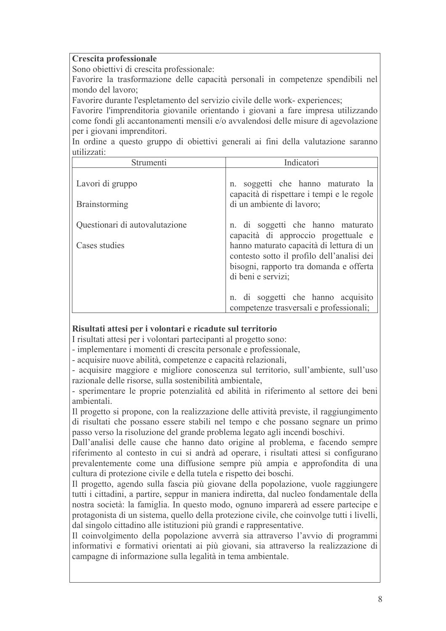#### **Crescita professionale**

Sono obiettivi di crescita professionale:

Favorire la trasformazione delle capacità personali in competenze spendibili nel mondo del lavoro:

Favorire durante l'espletamento del servizio civile delle work-experiences;

Favorire l'imprenditoria giovanile orientando i giovani a fare impresa utilizzando come fondi gli accantonamenti mensili e/o avvalendosi delle misure di agevolazione per i giovani imprenditori.

In ordine a questo gruppo di obiettivi generali ai fini della valutazione saranno utilizzati

| Strumenti                                       | Indicatori                                                                                                                                                                                                                                                                                                           |  |  |  |  |  |  |
|-------------------------------------------------|----------------------------------------------------------------------------------------------------------------------------------------------------------------------------------------------------------------------------------------------------------------------------------------------------------------------|--|--|--|--|--|--|
| Lavori di gruppo<br><b>Brainstorming</b>        | n. soggetti che hanno maturato la<br>capacità di rispettare i tempi e le regole<br>di un ambiente di lavoro;                                                                                                                                                                                                         |  |  |  |  |  |  |
| Questionari di autovalutazione<br>Cases studies | n. di soggetti che hanno maturato<br>capacità di approccio progettuale e<br>hanno maturato capacità di lettura di un<br>contesto sotto il profilo dell'analisi dei<br>bisogni, rapporto tra domanda e offerta<br>di beni e servizi;<br>n. di soggetti che hanno acquisito<br>competenze trasversali e professionali; |  |  |  |  |  |  |

#### Risultati attesi per i volontari e ricadute sul territorio

I risultati attesi per i volontari partecipanti al progetto sono:

- implementare i momenti di crescita personale e professionale,

- acquisire nuove abilità, competenze e capacità relazionali,

- acquisire maggiore e migliore conoscenza sul territorio, sull'ambiente, sull'uso razionale delle risorse, sulla sostenibilità ambientale,

- sperimentare le proprie potenzialità ed abilità in riferimento al settore dei beni ambientali

Il progetto si propone, con la realizzazione delle attività previste, il raggiungimento di risultati che possano essere stabili nel tempo e che possano segnare un primo passo verso la risoluzione del grande problema legato agli incendi boschivi.

Dall'analisi delle cause che hanno dato origine al problema, e facendo sempre riferimento al contesto in cui si andrà ad operare, i risultati attesi si configurano prevalentemente come una diffusione sempre più ampia e approfondita di una cultura di protezione civile e della tutela e rispetto dei boschi.

Il progetto, agendo sulla fascia più giovane della popolazione, vuole raggiungere tutti i cittadini, a partire, seppur in maniera indiretta, dal nucleo fondamentale della nostra società: la famiglia. In questo modo, ognuno imparerà ad essere partecipe e protagonista di un sistema, quello della protezione civile, che coinvolge tutti i livelli, dal singolo cittadino alle istituzioni più grandi e rappresentative.

Il coinvolgimento della popolazione avverrà sia attraverso l'avvio di programmi informativi e formativi orientati ai più giovani, sia attraverso la realizzazione di campagne di informazione sulla legalità in tema ambientale.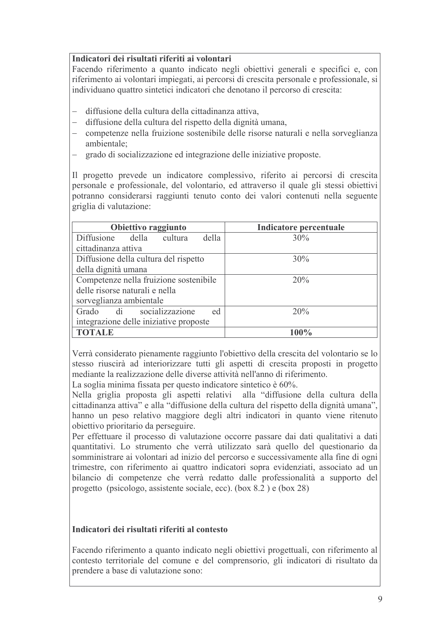### Indicatori dei risultati riferiti ai volontari

Facendo riferimento a quanto indicato negli obiettivi generali e specifici e, con riferimento ai volontari impiegati, ai percorsi di crescita personale e professionale, si individuano quattro sintetici indicatori che denotano il percorso di crescita:

- diffusione della cultura della cittadinanza attiva.
- diffusione della cultura del rispetto della dignità umana,
- competenze nella fruizione sostenibile delle risorse naturali e nella sorveglianza ambientale;
- $\equiv$ grado di socializzazione ed integrazione delle iniziative proposte.

Il progetto prevede un indicatore complessivo, riferito ai percorsi di crescita personale e professionale, del volontario, ed attraverso il quale gli stessi obiettivi potranno considerarsi raggiunti tenuto conto dei valori contenuti nella seguente griglia di valutazione:

| Obiettivo raggiunto                    | Indicatore percentuale |  |  |  |  |  |  |
|----------------------------------------|------------------------|--|--|--|--|--|--|
| Diffusione della cultura<br>della      | 30%                    |  |  |  |  |  |  |
| cittadinanza attiva                    |                        |  |  |  |  |  |  |
| Diffusione della cultura del rispetto  | 30%                    |  |  |  |  |  |  |
| della dignità umana                    |                        |  |  |  |  |  |  |
| Competenze nella fruizione sostenibile | 20%                    |  |  |  |  |  |  |
| delle risorse naturali e nella         |                        |  |  |  |  |  |  |
| sorveglianza ambientale                |                        |  |  |  |  |  |  |
| Grado di socializzazione<br>ed         | 20%                    |  |  |  |  |  |  |
| integrazione delle iniziative proposte |                        |  |  |  |  |  |  |
| <b>TOTALE</b>                          | $100\%$                |  |  |  |  |  |  |

Verrà considerato pienamente raggiunto l'obiettivo della crescita del volontario se lo stesso riuscirà ad interiorizzare tutti gli aspetti di crescita proposti in progetto mediante la realizzazione delle diverse attività nell'anno di riferimento.

La soglia minima fissata per questo indicatore sintetico è 60%.

Nella griglia proposta gli aspetti relativi alla "diffusione della cultura della cittadinanza attiva" e alla "diffusione della cultura del rispetto della dignità umana", hanno un peso relativo maggiore degli altri indicatori in quanto viene ritenuto obiettivo prioritario da perseguire.

Per effettuare il processo di valutazione occorre passare dai dati qualitativi a dati quantitativi. Lo strumento che verrà utilizzato sarà quello del questionario da somministrare ai volontari ad inizio del percorso e successivamente alla fine di ogni trimestre, con riferimento ai quattro indicatori sopra evidenziati, associato ad un bilancio di competenze che verrà redatto dalle professionalità a supporto del progetto (psicologo, assistente sociale, ecc). (box 8.2) e (box 28)

# Indicatori dei risultati riferiti al contesto

Facendo riferimento a quanto indicato negli obiettivi progettuali, con riferimento al contesto territoriale del comune e del comprensorio, gli indicatori di risultato da prendere a base di valutazione sono: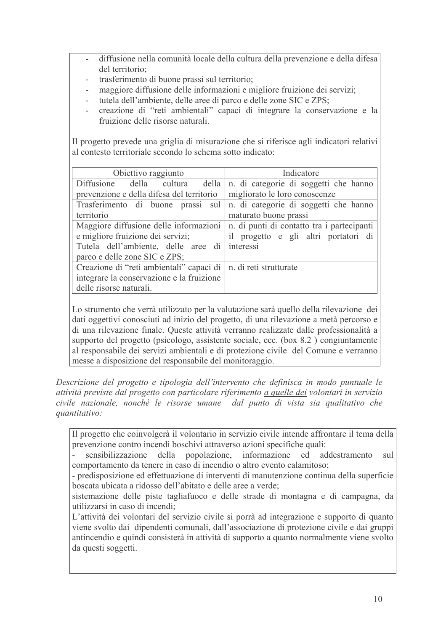- diffusione nella comunità locale della cultura della prevenzione e della difesa del territorio<sup>.</sup>
- trasferimento di buone prassi sul territorio;
- maggiore diffusione delle informazioni e migliore fruizione dei servizi;
- tutela dell'ambiente, delle aree di parco e delle zone SIC e ZPS;
- creazione di "reti ambientali" capaci di integrare la conservazione e la fruizione delle risorse naturali

Il progetto prevede una griglia di misurazione che si riferisce agli indicatori relativi al contesto territoriale secondo lo schema sotto indicato:

| Obiettivo raggiunto                                                     | Indicatore                                                           |  |  |  |  |  |  |
|-------------------------------------------------------------------------|----------------------------------------------------------------------|--|--|--|--|--|--|
|                                                                         | Diffusione della cultura della n. di categorie di soggetti che hanno |  |  |  |  |  |  |
| prevenzione e della difesa del territorio                               | migliorato le loro conoscenze                                        |  |  |  |  |  |  |
| Trasferimento di buone prassi sul n. di categorie di soggetti che hanno |                                                                      |  |  |  |  |  |  |
| territorio                                                              | maturato buone prassi                                                |  |  |  |  |  |  |
| Maggiore diffusione delle informazioni                                  | n. di punti di contatto tra i partecipanti                           |  |  |  |  |  |  |
| e migliore fruizione dei servizi;                                       | il progetto e gli altri portatori di                                 |  |  |  |  |  |  |
| Tutela dell'ambiente, delle aree di                                     | interessi                                                            |  |  |  |  |  |  |
| parco e delle zone SIC e ZPS;                                           |                                                                      |  |  |  |  |  |  |
| Creazione di "reti ambientali" capaci di   n. di reti strutturate       |                                                                      |  |  |  |  |  |  |
| integrare la conservazione e la fruizione                               |                                                                      |  |  |  |  |  |  |
| delle risorse naturali.                                                 |                                                                      |  |  |  |  |  |  |

Lo strumento che verrà utilizzato per la valutazione sarà quello della rilevazione dei dati oggettivi conosciuti ad inizio del progetto, di una rilevazione a metà percorso e di una rilevazione finale. Queste attività verranno realizzate dalle professionalità a supporto del progetto (psicologo, assistente sociale, ecc. (box 8.2) congiuntamente al responsabile dei servizi ambientali e di protezione civile del Comune e verranno messe a disposizione del responsabile del monitoraggio.

Descrizione del progetto e tipologia dell'intervento che definisca in modo puntuale le attività previste dal progetto con particolare riferimento a quelle dei volontari in servizio civile nazionale, nonché le risorse umane dal punto di vista sia qualitativo che *auantitativo:* 

Il progetto che coinvolgerà il volontario in servizio civile intende affrontare il tema della prevenzione contro incendi boschivi attraverso azioni specifiche quali:

sensibilizzazione della popolazione, informazione ed addestramento sul comportamento da tenere in caso di incendio o altro evento calamitoso;

- predisposizione ed effettuazione di interventi di manutenzione continua della superficie boscata ubicata a ridosso dell'abitato e delle aree a verde:

sistemazione delle piste tagliafuoco e delle strade di montagna e di campagna, da utilizzarsi in caso di incendi:

L'attività dei volontari del servizio civile si porrà ad integrazione e supporto di quanto viene svolto dai dipendenti comunali, dall'associazione di protezione civile e dai gruppi antincendio e quindi consisterà in attività di supporto a quanto normalmente viene svolto da questi soggetti.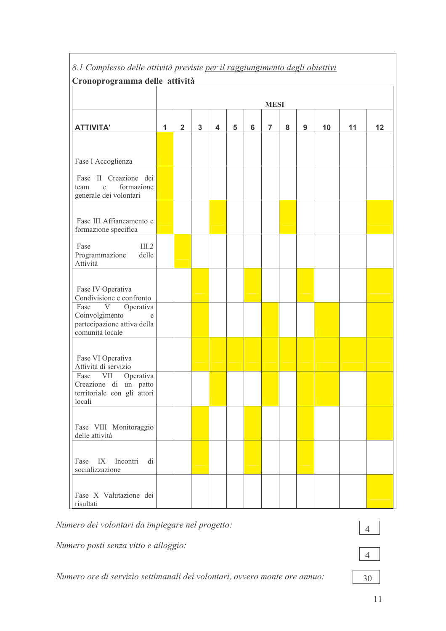| $\cdots$ $\cdots$ $\cdots$<br>Cronoprogramma delle attività                               |              |                         |              |                         |                 |         |                |   |   |    |    |    |
|-------------------------------------------------------------------------------------------|--------------|-------------------------|--------------|-------------------------|-----------------|---------|----------------|---|---|----|----|----|
|                                                                                           | <b>MESI</b>  |                         |              |                         |                 |         |                |   |   |    |    |    |
| <b>ATTIVITA'</b>                                                                          | $\mathbf{1}$ | $\overline{\mathbf{2}}$ | $\mathbf{3}$ | $\overline{\mathbf{4}}$ | $5\phantom{.0}$ | $\bf 6$ | $\overline{7}$ | 8 | 9 | 10 | 11 | 12 |
|                                                                                           |              |                         |              |                         |                 |         |                |   |   |    |    |    |
| Fase I Accoglienza                                                                        |              |                         |              |                         |                 |         |                |   |   |    |    |    |
| Fase II Creazione dei<br>formazione<br>team<br>e<br>generale dei volontari                |              |                         |              |                         |                 |         |                |   |   |    |    |    |
| Fase III Affiancamento e<br>formazione specifica                                          |              |                         |              |                         |                 |         |                |   |   |    |    |    |
| Fase<br>III.2<br>Programmazione<br>delle<br>Attività                                      |              |                         |              |                         |                 |         |                |   |   |    |    |    |
| Fase IV Operativa<br>Condivisione e confronto                                             |              |                         |              |                         |                 |         |                |   |   |    |    |    |
| Fase V Operativa<br>Coinvolgimento<br>e<br>partecipazione attiva della<br>comunità locale |              |                         |              |                         |                 |         |                |   |   |    |    |    |
| Fase VI Operativa<br>Attività di servizio                                                 |              |                         |              |                         |                 |         |                |   |   |    |    |    |
| Fase VII Operativa<br>Creazione di un patto<br>territoriale con gli attori<br>locali      |              |                         |              |                         |                 |         |                |   |   |    |    |    |
| Fase VIII Monitoraggio<br>delle attività                                                  |              |                         |              |                         |                 |         |                |   |   |    |    |    |
| Fase IX Incontri di<br>socializzazione                                                    |              |                         |              |                         |                 |         |                |   |   |    |    |    |
| Fase X Valutazione dei<br>risultati                                                       |              |                         |              |                         |                 |         |                |   |   |    |    |    |

# 8.1 Complesso delle attività previste per il raggiungimento degli obiettivi

Numero dei volontari da impiegare nel progetto:

Numero posti senza vitto e alloggio:

Numero ore di servizio settimanali dei volontari, ovvero monte ore annuo:

 $\overline{4}$ 

- 
- 

 $30$